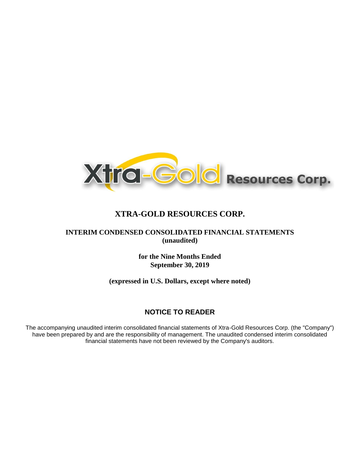

## **INTERIM CONDENSED CONSOLIDATED FINANCIAL STATEMENTS (unaudited)**

**for the Nine Months Ended September 30, 2019**

**(expressed in U.S. Dollars, except where noted)**

# **NOTICE TO READER**

The accompanying unaudited interim consolidated financial statements of Xtra-Gold Resources Corp. (the "Company") have been prepared by and are the responsibility of management. The unaudited condensed interim consolidated financial statements have not been reviewed by the Company's auditors.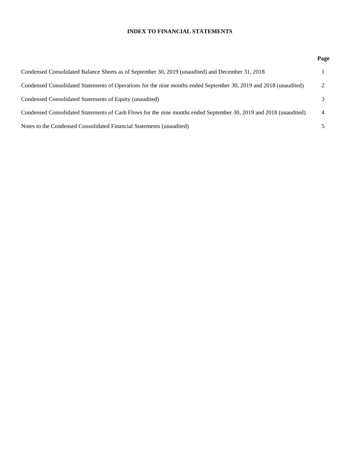### **INDEX TO FINANCIAL STATEMENTS**

|                                                                                                                   | r'ai           |
|-------------------------------------------------------------------------------------------------------------------|----------------|
| Condensed Consolidated Balance Sheets as of September 30, 2019 (unaudited) and December 31, 2018                  |                |
| Condensed Consolidated Statements of Operations for the nine months ended September 30, 2019 and 2018 (unaudited) | $\mathcal{L}$  |
| Condensed Consolidated Statements of Equity (unaudited)                                                           | 3              |
| Condensed Consolidated Statements of Cash Flows for the nine months ended September 30, 2019 and 2018 (unaudited) | $\overline{4}$ |
| Notes to the Condensed Consolidated Financial Statements (unaudited)                                              |                |

## **Page**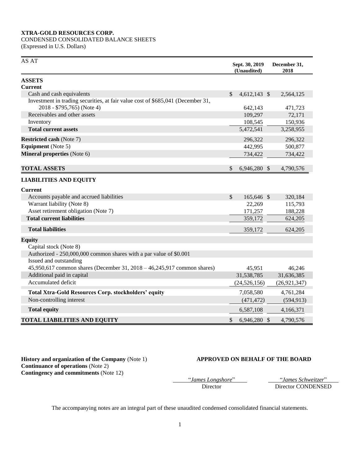# CONDENSED CONSOLIDATED BALANCE SHEETS

(Expressed in U.S. Dollars)

| AS AT                                                                                                                  | Sept. 30, 2019<br>(Unaudited) | December 31,<br>2018 |
|------------------------------------------------------------------------------------------------------------------------|-------------------------------|----------------------|
| <b>ASSETS</b>                                                                                                          |                               |                      |
| <b>Current</b>                                                                                                         |                               |                      |
| Cash and cash equivalents                                                                                              | \$<br>$4,612,143$ \$          | 2,564,125            |
| Investment in trading securities, at fair value cost of \$685,041 (December 31,<br>2018 - \$795,765) (Note 4)          | 642,143                       | 471,723              |
| Receivables and other assets                                                                                           | 109,297                       | 72,171               |
| Inventory                                                                                                              | 108,545                       | 150,936              |
| <b>Total current assets</b>                                                                                            | 5,472,541                     | 3,258,955            |
| <b>Restricted cash (Note 7)</b>                                                                                        | 296,322                       | 296,322              |
| <b>Equipment</b> (Note 5)                                                                                              | 442,995                       | 500,877              |
| Mineral properties (Note 6)                                                                                            | 734,422                       | 734,422              |
| <b>TOTAL ASSETS</b>                                                                                                    | \$<br>6,946,280 \$            | 4,790,576            |
| <b>LIABILITIES AND EQUITY</b>                                                                                          |                               |                      |
| <b>Current</b>                                                                                                         |                               |                      |
| Accounts payable and accrued liabilities                                                                               | \$<br>165,646 \$              | 320,184              |
| Warrant liability (Note 8)                                                                                             | 22,269                        | 115,793              |
| Asset retirement obligation (Note 7)                                                                                   | 171,257                       | 188,228              |
| <b>Total current liabilities</b>                                                                                       | 359,172                       | 624,205              |
| <b>Total liabilities</b>                                                                                               | 359,172                       | 624,205              |
| <b>Equity</b>                                                                                                          |                               |                      |
| Capital stock (Note 8)<br>Authorized - 250,000,000 common shares with a par value of \$0.001<br>Issued and outstanding |                               |                      |
| 45,950,617 common shares (December 31, 2018 - 46,245,917 common shares)                                                | 45,951                        | 46,246               |
| Additional paid in capital                                                                                             | 31,538,785                    | 31,636,385           |
| Accumulated deficit                                                                                                    | (24, 526, 156)                | (26, 921, 347)       |
| Total Xtra-Gold Resources Corp. stockholders' equity                                                                   | 7,058,580                     | 4,761,284            |
| Non-controlling interest                                                                                               | (471, 472)                    | (594, 913)           |
| <b>Total equity</b>                                                                                                    | 6,587,108                     | 4,166,371            |
| <b>TOTAL LIABILITIES AND EQUITY</b>                                                                                    | \$<br>6,946,280 \$            | 4,790,576            |

**Continuance of operations** (Note 2) **Contingency and commitments** (Note 12)

### **History and organization of the Company** (Note 1) **APPROVED ON BEHALF OF THE BOARD**

"*James Longshore*" "*James Schweitzer*"

Director CONDENSED

The accompanying notes are an integral part of these unaudited condensed consolidated financial statements.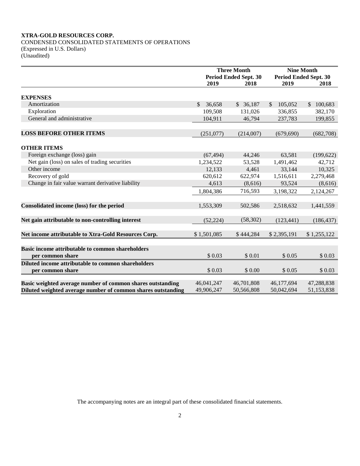CONDENSED CONSOLIDATED STATEMENTS OF OPERATIONS (Expressed in U.S. Dollars) (Unaudited)

|                                                              |              | <b>Three Month</b>           | <b>Nine Month</b>            |             |  |  |
|--------------------------------------------------------------|--------------|------------------------------|------------------------------|-------------|--|--|
|                                                              |              | <b>Period Ended Sept. 30</b> | <b>Period Ended Sept. 30</b> |             |  |  |
|                                                              | 2019         | 2018                         | 2019                         | 2018        |  |  |
|                                                              |              |                              |                              |             |  |  |
| <b>EXPENSES</b>                                              |              |                              |                              |             |  |  |
| Amortization                                                 | \$<br>36,658 | \$36,187                     | $\mathcal{S}$<br>105,052     | \$100,683   |  |  |
| Exploration                                                  | 109,508      | 131,026                      | 336,855                      | 382,170     |  |  |
| General and administrative                                   | 104,911      | 46,794                       | 237,783                      | 199,855     |  |  |
| <b>LOSS BEFORE OTHER ITEMS</b>                               | (251,077)    | (214,007)                    | (679, 690)                   | (682,708)   |  |  |
| <b>OTHER ITEMS</b>                                           |              |                              |                              |             |  |  |
| Foreign exchange (loss) gain                                 | (67, 494)    | 44,246                       | 63,581                       | (199, 622)  |  |  |
| Net gain (loss) on sales of trading securities               | 1,234,522    | 53,528                       | 1,491,462                    | 42,712      |  |  |
| Other income                                                 | 12,133       | 4,461                        | 33,144                       | 10,325      |  |  |
| Recovery of gold                                             | 620,612      | 622,974                      | 1,516,611                    | 2,279,468   |  |  |
| Change in fair value warrant derivative liability            | 4,613        | (8,616)                      | 93,524                       | (8,616)     |  |  |
|                                                              | 1,804,386    | 716,593                      | 3,198,322                    | 2,124,267   |  |  |
|                                                              |              |                              |                              |             |  |  |
| Consolidated income (loss) for the period                    | 1,553,309    | 502,586                      | 2,518,632                    | 1,441,559   |  |  |
|                                                              |              |                              |                              |             |  |  |
| Net gain attributable to non-controlling interest            | (52, 224)    | (58, 302)                    | (123, 441)                   | (186, 437)  |  |  |
| Net income attributable to Xtra-Gold Resources Corp.         | \$1,501,085  | \$444,284                    | \$2,395,191                  | \$1,255,122 |  |  |
|                                                              |              |                              |                              |             |  |  |
| Basic income attributable to common shareholders             | \$0.03       | \$0.01                       | \$0.05                       |             |  |  |
| per common share                                             |              |                              |                              | \$0.03      |  |  |
| Diluted income attributable to common shareholders           |              |                              |                              |             |  |  |
| per common share                                             | \$0.03       | \$0.00                       | \$0.05                       | \$0.03      |  |  |
| Basic weighted average number of common shares outstanding   | 46,041,247   | 46,701,808                   | 46,177,694                   | 47,288,838  |  |  |
| Diluted weighted average number of common shares outstanding | 49,906,247   | 50.566.808                   | 50.042.694                   | 51,153,838  |  |  |

The accompanying notes are an integral part of these consolidated financial statements.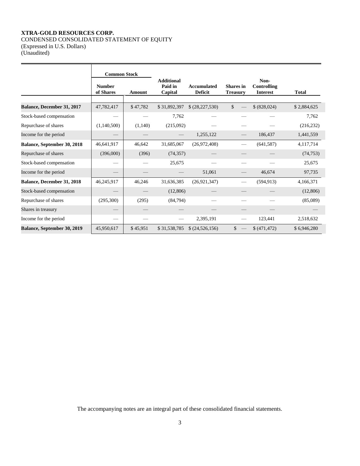### **XTRA-GOLD RESOURCES CORP.** CONDENSED CONSOLIDATED STATEMENT OF EQUITY (Expressed in U.S. Dollars)

(Unaudited)

|                                   |                            | <b>Common Stock</b> |                                         |                                      |                                     |                                        |              |  |  |
|-----------------------------------|----------------------------|---------------------|-----------------------------------------|--------------------------------------|-------------------------------------|----------------------------------------|--------------|--|--|
|                                   | <b>Number</b><br>of Shares | Amount              | <b>Additional</b><br>Paid in<br>Capital | <b>Accumulated</b><br><b>Deficit</b> | <b>Shares</b> in<br><b>Treasury</b> | Non-<br>Controlling<br><b>Interest</b> | <b>Total</b> |  |  |
| <b>Balance, December 31, 2017</b> | 47,782,417                 | \$47,782            | \$31,892,397                            | \$ (28,227,530)                      | \$                                  | \$ (828,024)                           | \$2,884,625  |  |  |
| Stock-based compensation          |                            |                     | 7,762                                   |                                      |                                     |                                        | 7,762        |  |  |
| Repurchase of shares              | (1,140,500)                | (1,140)             | (215,092)                               |                                      |                                     |                                        | (216, 232)   |  |  |
| Income for the period             |                            |                     |                                         | 1,255,122                            |                                     | 186,437                                | 1,441,559    |  |  |
| Balance, September 30, 2018       | 46,641,917                 | 46,642              | 31,685,067                              | (26,972,408)                         |                                     | (641, 587)                             | 4,117,714    |  |  |
| Repurchase of shares              | (396,000)                  | (396)               | (74, 357)                               |                                      |                                     |                                        | (74, 753)    |  |  |
| Stock-based compensation          |                            |                     | 25,675                                  |                                      |                                     |                                        | 25,675       |  |  |
| Income for the period             |                            |                     |                                         | 51,061                               |                                     | 46,674                                 | 97,735       |  |  |
| Balance, December 31, 2018        | 46,245,917                 | 46,246              | 31,636,385                              | (26, 921, 347)                       |                                     | (594, 913)                             | 4,166,371    |  |  |
| Stock-based compensation          |                            |                     | (12,806)                                |                                      |                                     |                                        | (12,806)     |  |  |
| Repurchase of shares              | (295,300)                  | (295)               | (84,794)                                |                                      |                                     |                                        | (85,089)     |  |  |
| Shares in treasury                |                            |                     |                                         |                                      |                                     |                                        |              |  |  |
| Income for the period             |                            |                     |                                         | 2,395,191                            |                                     | 123,441                                | 2,518,632    |  |  |
| Balance, September 30, 2019       | 45,950,617                 | \$45,951            | \$31,538,785                            | \$ (24,526,156)                      | \$                                  | \$ (471.472)                           | \$6.946.280  |  |  |

The accompanying notes are an integral part of these consolidated financial statements.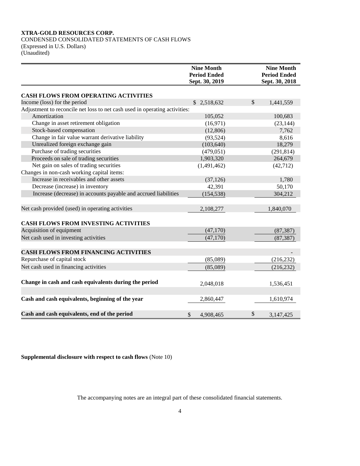CONDENSED CONSOLIDATED STATEMENTS OF CASH FLOWS (Expressed in U.S. Dollars) (Unaudited)

|                                                                            | <b>Nine Month</b><br><b>Period Ended</b><br>Sept. 30, 2019 | <b>Nine Month</b><br><b>Period Ended</b><br>Sept. 30, 2018 |
|----------------------------------------------------------------------------|------------------------------------------------------------|------------------------------------------------------------|
| <b>CASH FLOWS FROM OPERATING ACTIVITIES</b>                                |                                                            |                                                            |
| Income (loss) for the period                                               | \$2,518,632                                                | \$<br>1,441,559                                            |
| Adjustment to reconcile net loss to net cash used in operating activities: |                                                            |                                                            |
| Amortization                                                               | 105,052                                                    | 100,683                                                    |
| Change in asset retirement obligation                                      | (16,971)                                                   | (23, 144)                                                  |
| Stock-based compensation                                                   | (12,806)                                                   | 7,762                                                      |
| Change in fair value warrant derivative liability                          | (93, 524)                                                  | 8,616                                                      |
| Unrealized foreign exchange gain                                           | (103, 640)                                                 | 18,279                                                     |
| Purchase of trading securities                                             | (479, 051)                                                 | (291, 814)                                                 |
| Proceeds on sale of trading securities                                     | 1,903,320                                                  | 264,679                                                    |
| Net gain on sales of trading securities                                    | (1,491,462)                                                | (42, 712)                                                  |
| Changes in non-cash working capital items:                                 |                                                            |                                                            |
| Increase in receivables and other assets                                   | (37, 126)                                                  | 1,780                                                      |
| Decrease (increase) in inventory                                           | 42,391                                                     | 50,170                                                     |
| Increase (decrease) in accounts payable and accrued liabilities            | (154, 538)                                                 | 304,212                                                    |
| Net cash provided (used) in operating activities                           | 2,108,277                                                  | 1,840,070                                                  |
| CASH FLOWS FROM INVESTING ACTIVITIES                                       |                                                            |                                                            |
| Acquisition of equipment                                                   | (47,170)                                                   | (87, 387)                                                  |
| Net cash used in investing activities                                      | (47,170)                                                   | (87, 387)                                                  |
| <b>CASH FLOWS FROM FINANCING ACTIVITIES</b>                                |                                                            |                                                            |
| Repurchase of capital stock                                                | (85,089)                                                   | (216, 232)                                                 |
| Net cash used in financing activities                                      | (85,089)                                                   | (216, 232)                                                 |
| Change in cash and cash equivalents during the period                      | 2,048,018                                                  | 1,536,451                                                  |
| Cash and cash equivalents, beginning of the year                           | 2,860,447                                                  | 1,610,974                                                  |
| Cash and cash equivalents, end of the period                               | \$<br>4,908,465                                            | \$<br>3,147,425                                            |

**Supplemental disclosure with respect to cash flows** (Note 10)

The accompanying notes are an integral part of these consolidated financial statements.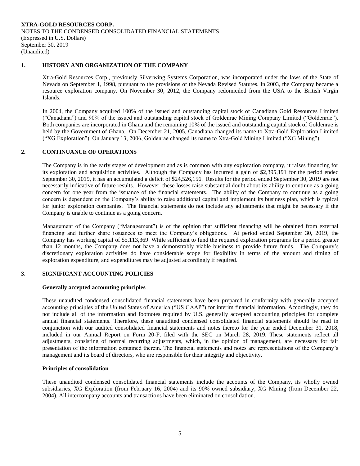### **1. HISTORY AND ORGANIZATION OF THE COMPANY**

Xtra-Gold Resources Corp., previously Silverwing Systems Corporation, was incorporated under the laws of the State of Nevada on September 1, 1998, pursuant to the provisions of the Nevada Revised Statutes. In 2003, the Company became a resource exploration company. On November 30, 2012, the Company redomiciled from the USA to the British Virgin Islands.

In 2004, the Company acquired 100% of the issued and outstanding capital stock of Canadiana Gold Resources Limited ("Canadiana") and 90% of the issued and outstanding capital stock of Goldenrae Mining Company Limited ("Goldenrae"). Both companies are incorporated in Ghana and the remaining 10% of the issued and outstanding capital stock of Goldenrae is held by the Government of Ghana. On December 21, 2005, Canadiana changed its name to Xtra-Gold Exploration Limited ("XG Exploration"). On January 13, 2006, Goldenrae changed its name to Xtra-Gold Mining Limited ("XG Mining").

### **2. CONTINUANCE OF OPERATIONS**

The Company is in the early stages of development and as is common with any exploration company, it raises financing for its exploration and acquisition activities. Although the Company has incurred a gain of \$2,395,191 for the period ended September 30, 2019, it has an accumulated a deficit of \$24,526,156. Results for the period ended September 30, 2019 are not necessarily indicative of future results. However, these losses raise substantial doubt about its ability to continue as a going concern for one year from the issuance of the financial statements. The ability of the Company to continue as a going concern is dependent on the Company's ability to raise additional capital and implement its business plan, which is typical for junior exploration companies. The financial statements do not include any adjustments that might be necessary if the Company is unable to continue as a going concern.

Management of the Company ("Management") is of the opinion that sufficient financing will be obtained from external financing and further share issuances to meet the Company's obligations. At period ended September 30, 2019, the Company has working capital of \$5,113,369. While sufficient to fund the required exploration programs for a period greater than 12 months, the Company does not have a demonstrably viable business to provide future funds. The Company's discretionary exploration activities do have considerable scope for flexibility in terms of the amount and timing of exploration expenditure, and expenditures may be adjusted accordingly if required.

### **3. SIGNIFICANT ACCOUNTING POLICIES**

#### **Generally accepted accounting principles**

These unaudited condensed consolidated financial statements have been prepared in conformity with generally accepted accounting principles of the United States of America ("US GAAP") for interim financial information. Accordingly, they do not include all of the information and footnotes required by U.S. generally accepted accounting principles for complete annual financial statements. Therefore, these unaudited condensed consolidated financial statements should be read in conjunction with our audited consolidated financial statements and notes thereto for the year ended December 31, 2018, included in our Annual Report on Form 20-F, filed with the SEC on March 28, 2019. These statements reflect all adjustments, consisting of normal recurring adjustments, which, in the opinion of management, are necessary for fair presentation of the information contained therein. The financial statements and notes are representations of the Company's management and its board of directors, who are responsible for their integrity and objectivity.

### **Principles of consolidation**

These unaudited condensed consolidated financial statements include the accounts of the Company, its wholly owned subsidiaries, XG Exploration (from February 16, 2004) and its 90% owned subsidiary, XG Mining (from December 22, 2004). All intercompany accounts and transactions have been eliminated on consolidation.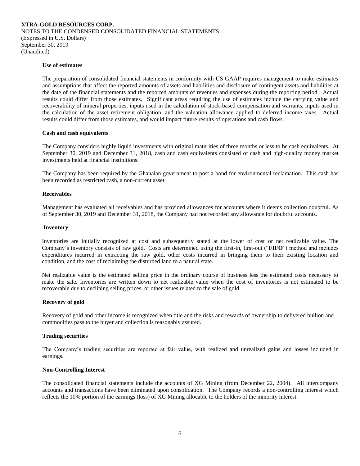### **Use of estimates**

The preparation of consolidated financial statements in conformity with US GAAP requires management to make estimates and assumptions that affect the reported amounts of assets and liabilities and disclosure of contingent assets and liabilities at the date of the financial statements and the reported amounts of revenues and expenses during the reporting period. Actual results could differ from those estimates. Significant areas requiring the use of estimates include the carrying value and recoverability of mineral properties, inputs used in the calculation of stock-based compensation and warrants, inputs used in the calculation of the asset retirement obligation, and the valuation allowance applied to deferred income taxes. Actual results could differ from those estimates, and would impact future results of operations and cash flows.

#### **Cash and cash equivalents**

The Company considers highly liquid investments with original maturities of three months or less to be cash equivalents. At September 30, 2019 and December 31, 2018, cash and cash equivalents consisted of cash and high-quality money market investments held at financial institutions.

The Company has been required by the Ghanaian government to post a bond for environmental reclamation. This cash has been recorded as restricted cash, a non-current asset.

#### **Receivables**

Management has evaluated all receivables and has provided allowances for accounts where it deems collection doubtful. As of September 30, 2019 and December 31, 2018, the Company had not recorded any allowance for doubtful accounts.

#### **Inventory**

Inventories are initially recognized at cost and subsequently stated at the lower of cost or net realizable value. The Company's inventory consists of raw gold. Costs are determined using the first-in, first-out ("**FIFO**") method and includes expenditures incurred in extracting the raw gold, other costs incurred in bringing them to their existing location and condition, and the cost of reclaiming the disturbed land to a natural state.

Net realizable value is the estimated selling price in the ordinary course of business less the estimated costs necessary to make the sale. Inventories are written down to net realizable value when the cost of inventories is not estimated to be recoverable due to declining selling prices, or other issues related to the sale of gold.

#### **Recovery of gold**

Recovery of gold and other income is recognized when title and the risks and rewards of ownership to delivered bullion and commodities pass to the buyer and collection is reasonably assured.

### **Trading securities**

The Company's trading securities are reported at fair value, with realized and unrealized gains and losses included in earnings.

#### **Non-Controlling Interest**

The consolidated financial statements include the accounts of XG Mining (from December 22, 2004). All intercompany accounts and transactions have been eliminated upon consolidation. The Company records a non-controlling interest which reflects the 10% portion of the earnings (loss) of XG Mining allocable to the holders of the minority interest.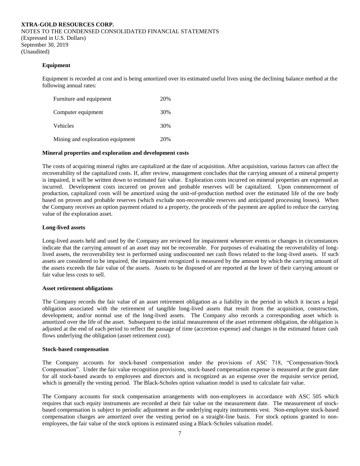#### **Equipment**

Equipment is recorded at cost and is being amortized over its estimated useful lives using the declining balance method at the following annual rates:

| Furniture and equipment          | 20% |
|----------------------------------|-----|
| Computer equipment               | 30% |
| Vehicles                         | 30% |
| Mining and exploration equipment | 20% |

### **Mineral properties and exploration and development costs**

The costs of acquiring mineral rights are capitalized at the date of acquisition. After acquisition, various factors can affect the recoverability of the capitalized costs. If, after review, management concludes that the carrying amount of a mineral property is impaired, it will be written down to estimated fair value. Exploration costs incurred on mineral properties are expensed as incurred. Development costs incurred on proven and probable reserves will be capitalized. Upon commencement of production, capitalized costs will be amortized using the unit-of-production method over the estimated life of the ore body based on proven and probable reserves (which exclude non-recoverable reserves and anticipated processing losses). When the Company receives an option payment related to a property, the proceeds of the payment are applied to reduce the carrying value of the exploration asset.

#### **Long-lived assets**

Long-lived assets held and used by the Company are reviewed for impairment whenever events or changes in circumstances indicate that the carrying amount of an asset may not be recoverable. For purposes of evaluating the recoverability of longlived assets, the recoverability test is performed using undiscounted net cash flows related to the long-lived assets. If such assets are considered to be impaired, the impairment recognized is measured by the amount by which the carrying amount of the assets exceeds the fair value of the assets. Assets to be disposed of are reported at the lower of their carrying amount or fair value less costs to sell.

#### **Asset retirement obligations**

The Company records the fair value of an asset retirement obligation as a liability in the period in which it incurs a legal obligation associated with the retirement of tangible long-lived assets that result from the acquisition, construction, development, and/or normal use of the long-lived assets. The Company also records a corresponding asset which is amortized over the life of the asset. Subsequent to the initial measurement of the asset retirement obligation, the obligation is adjusted at the end of each period to reflect the passage of time (accretion expense) and changes in the estimated future cash flows underlying the obligation (asset retirement cost).

#### **Stock-based compensation**

The Company accounts for stock-based compensation under the provisions of ASC 718, "Compensation-Stock Compensation". Under the fair value recognition provisions, stock-based compensation expense is measured at the grant date for all stock-based awards to employees and directors and is recognized as an expense over the requisite service period, which is generally the vesting period. The Black-Scholes option valuation model is used to calculate fair value.

The Company accounts for stock compensation arrangements with non-employees in accordance with ASC 505 which requires that such equity instruments are recorded at their fair value on the measurement date. The measurement of stockbased compensation is subject to periodic adjustment as the underlying equity instruments vest. Non-employee stock-based compensation charges are amortized over the vesting period on a straight-line basis. For stock options granted to nonemployees, the fair value of the stock options is estimated using a Black-Scholes valuation model.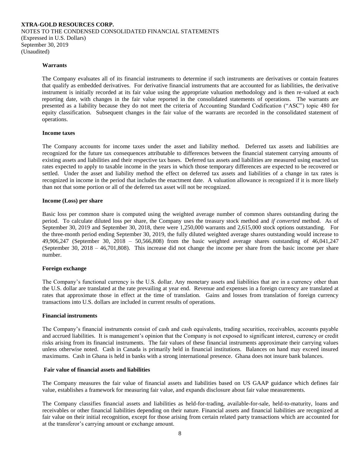#### **Warrants**

The Company evaluates all of its financial instruments to determine if such instruments are derivatives or contain features that qualify as embedded derivatives. For derivative financial instruments that are accounted for as liabilities, the derivative instrument is initially recorded at its fair value using the appropriate valuation methodology and is then re-valued at each reporting date, with changes in the fair value reported in the consolidated statements of operations. The warrants are presented as a liability because they do not meet the criteria of Accounting Standard Codification ("ASC") topic 480 for equity classification. Subsequent changes in the fair value of the warrants are recorded in the consolidated statement of operations.

#### **Income taxes**

The Company accounts for income taxes under the asset and liability method. Deferred tax assets and liabilities are recognized for the future tax consequences attributable to differences between the financial statement carrying amounts of existing assets and liabilities and their respective tax bases. Deferred tax assets and liabilities are measured using enacted tax rates expected to apply to taxable income in the years in which those temporary differences are expected to be recovered or settled. Under the asset and liability method the effect on deferred tax assets and liabilities of a change in tax rates is recognized in income in the period that includes the enactment date. A valuation allowance is recognized if it is more likely than not that some portion or all of the deferred tax asset will not be recognized.

#### **Income (Loss) per share**

Basic loss per common share is computed using the weighted average number of common shares outstanding during the period. To calculate diluted loss per share, the Company uses the treasury stock method and *if converted* method. As of September 30, 2019 and September 30, 2018, there were 1,250,000 warrants and 2,615,000 stock options outstanding. For the three-month period ending September 30, 2019, the fully diluted weighted average shares outstanding would increase to 49,906,247 (September 30, 2018 – 50,566,808) from the basic weighted average shares outstanding of 46,041,247 (September 30, 2018 – 46,701,808). This increase did not change the income per share from the basic income per share number.

#### **Foreign exchange**

The Company's functional currency is the U.S. dollar. Any monetary assets and liabilities that are in a currency other than the U.S. dollar are translated at the rate prevailing at year end. Revenue and expenses in a foreign currency are translated at rates that approximate those in effect at the time of translation. Gains and losses from translation of foreign currency transactions into U.S. dollars are included in current results of operations.

#### **Financial instruments**

The Company's financial instruments consist of cash and cash equivalents, trading securities, receivables, accounts payable and accrued liabilities. It is management's opinion that the Company is not exposed to significant interest, currency or credit risks arising from its financial instruments. The fair values of these financial instruments approximate their carrying values unless otherwise noted. Cash in Canada is primarily held in financial institutions. Balances on hand may exceed insured maximums. Cash in Ghana is held in banks with a strong international presence. Ghana does not insure bank balances.

#### **Fair value of financial assets and liabilities**

The Company measures the fair value of financial assets and liabilities based on US GAAP guidance which defines fair value, establishes a framework for measuring fair value, and expands disclosure about fair value measurements.

The Company classifies financial assets and liabilities as held-for-trading, available-for-sale, held-to-maturity, loans and receivables or other financial liabilities depending on their nature. Financial assets and financial liabilities are recognized at fair value on their initial recognition, except for those arising from certain related party transactions which are accounted for at the transferor's carrying amount or exchange amount.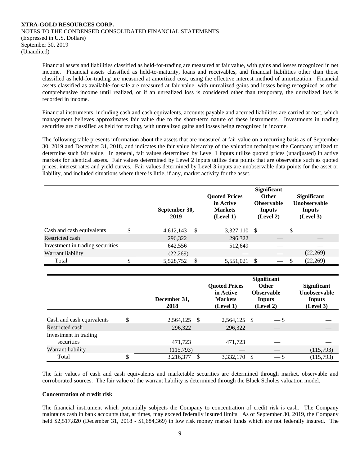Financial assets and liabilities classified as held-for-trading are measured at fair value, with gains and losses recognized in net income. Financial assets classified as held-to-maturity, loans and receivables, and financial liabilities other than those classified as held-for-trading are measured at amortized cost, using the effective interest method of amortization. Financial assets classified as available-for-sale are measured at fair value, with unrealized gains and losses being recognized as other comprehensive income until realized, or if an unrealized loss is considered other than temporary, the unrealized loss is recorded in income.

Financial instruments, including cash and cash equivalents, accounts payable and accrued liabilities are carried at cost, which management believes approximates fair value due to the short-term nature of these instruments. Investments in trading securities are classified as held for trading, with unrealized gains and losses being recognized in income.

The following table presents information about the assets that are measured at fair value on a recurring basis as of September 30, 2019 and December 31, 2018, and indicates the fair value hierarchy of the valuation techniques the Company utilized to determine such fair value. In general, fair values determined by Level 1 inputs utilize quoted prices (unadjusted) in active markets for identical assets. Fair values determined by Level 2 inputs utilize data points that are observable such as quoted prices, interest rates and yield curves. Fair values determined by Level 3 inputs are unobservable data points for the asset or liability, and included situations where there is little, if any, market activity for the asset.

|                                  | September 30,<br>2019      | <b>Quoted Prices</b><br>in Active<br><b>Markets</b><br>(Level 1) |      | <b>Significant</b><br><b>Other</b><br><b>Observable</b><br><b>Inputs</b><br>(Level 2) |    | <b>Significant</b><br><b>Unobservable</b><br>Inputs<br>(Level 3) |
|----------------------------------|----------------------------|------------------------------------------------------------------|------|---------------------------------------------------------------------------------------|----|------------------------------------------------------------------|
| Cash and cash equivalents        | <sup>\$</sup><br>4,612,143 | 3,327,110                                                        | - \$ |                                                                                       | -S |                                                                  |
| Restricted cash                  | 296,322                    | 296,322                                                          |      |                                                                                       |    |                                                                  |
| Investment in trading securities | 642,556                    | 512,649                                                          |      |                                                                                       |    |                                                                  |
| Warrant liability                | (22,269)                   |                                                                  |      |                                                                                       |    | (22,269)                                                         |
| Total                            | S<br>5,528,752             | 5,551,021                                                        | -S   |                                                                                       |    | (22, 269)                                                        |

|                                     | December 31,<br>2018    |  | <b>Quoted Prices</b><br>in Active<br><b>Markets</b><br>(Level 1) |      | <b>Significant</b><br><b>Other</b><br><b>Observable</b><br>Inputs<br>(Level 2) | <b>Significant</b><br><b>Unobservable</b><br><b>Inputs</b><br>(Level 3) |
|-------------------------------------|-------------------------|--|------------------------------------------------------------------|------|--------------------------------------------------------------------------------|-------------------------------------------------------------------------|
| Cash and cash equivalents           | \$<br>2,564,125<br>- \$ |  | 2,564,125 \$                                                     |      | $-$ \$                                                                         |                                                                         |
| Restricted cash                     | 296,322                 |  | 296,322                                                          |      |                                                                                |                                                                         |
| Investment in trading<br>securities | 471,723                 |  | 471,723                                                          |      |                                                                                |                                                                         |
| Warrant liability                   | (115,793)               |  |                                                                  |      |                                                                                | (115,793)                                                               |
| Total                               | 3,216,377               |  | 3,332,170                                                        | - \$ | $-$ \$                                                                         | (115, 793)                                                              |

The fair values of cash and cash equivalents and marketable securities are determined through market, observable and corroborated sources. The fair value of the warrant liability is determined through the Black Scholes valuation model.

#### **Concentration of credit risk**

The financial instrument which potentially subjects the Company to concentration of credit risk is cash. The Company maintains cash in bank accounts that, at times, may exceed federally insured limits. As of September 30, 2019, the Company held \$2,517,820 (December 31, 2018 - \$1,684,369) in low risk money market funds which are not federally insured. The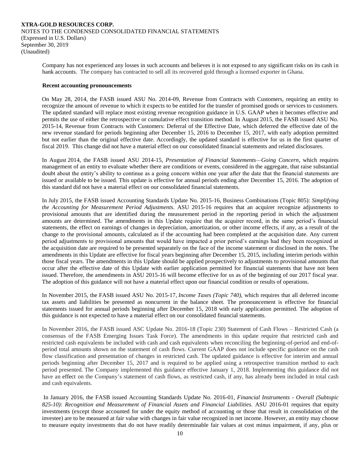Company has not experienced any losses in such accounts and believes it is not exposed to any significant risks on its cash in bank accounts. The company has contracted to sell all its recovered gold through a licensed exporter in Ghana.

#### **Recent accounting pronouncements**

On May 28, 2014, the FASB issued ASU No. 2014-09, Revenue from Contracts with Customers, requiring an entity to recognize the amount of revenue to which it expects to be entitled for the transfer of promised goods or services to customers. The updated standard will replace most existing revenue recognition guidance in U.S. GAAP when it becomes effective and permits the use of either the retrospective or cumulative effect transition method. In August 2015, the FASB issued ASU No. 2015-14, Revenue from Contracts with Customers: Deferral of the Effective Date, which deferred the effective date of the new revenue standard for periods beginning after December 15, 2016 to December 15, 2017, with early adoption permitted but not earlier than the original effective date. Accordingly, the updated standard is effective for us in the first quarter of fiscal 2019. This change did not have a material effect on our consolidated financial statements and related disclosures.

In August 2014, the FASB issued ASU 2014-15, *Presentation of Financial Statements—Going Concern*, which requires management of an entity to evaluate whether there are conditions or events, considered in the aggregate, that raise substantial doubt about the entity's ability to continue as a going concern within one year after the date that the financial statements are issued or available to be issued. This update is effective for annual periods ending after December 15, 2016. The adoption of this standard did not have a material effect on our consolidated financial statements.

In July 2015, the FASB issued Accounting Standards Update No. 2015-16, Business Combinations (Topic 805): *Simplifying the Accounting for Measurement Period Adjustments*. ASU 2015-16 requires that an acquirer recognize adjustments to provisional amounts that are identified during the measurement period in the reporting period in which the adjustment amounts are determined. The amendments in this Update require that the acquirer record, in the same period's financial statements, the effect on earnings of changes in depreciation, amortization, or other income effects, if any, as a result of the change to the provisional amounts, calculated as if the accounting had been completed at the acquisition date. Any current period adjustments to provisional amounts that would have impacted a prior period's earnings had they been recognized at the acquisition date are required to be presented separately on the face of the income statement or disclosed in the notes. The amendments in this Update are effective for fiscal years beginning after December 15, 2015, including interim periods within those fiscal years. The amendments in this Update should be applied prospectively to adjustments to provisional amounts that occur after the effective date of this Update with earlier application permitted for financial statements that have not been issued. Therefore, the amendments in ASU 2015-16 will become effective for us as of the beginning of our 2017 fiscal year. The adoption of this guidance will not have a material effect upon our financial condition or results of operations.

In November 2015, the FASB issued ASU No. 2015-17, *Income Taxes (Topic 740),* which requires that all deferred income tax assets and liabilities be presented as noncurrent in the balance sheet. The pronouncement is effective for financial statements issued for annual periods beginning after December 15, 2018 with early application permitted. The adoption of this guidance is not expected to have a material effect on our consolidated financial statements.

In November 2016, the FASB issued ASC Update No. 2016-18 (Topic 230) Statement of Cash Flows – Restricted Cash (a consensus of the FASB Emerging Issues Task Force). The amendments in this update require that restricted cash and restricted cash equivalents be included with cash and cash equivalents when reconciling the beginning-of-period and end-ofperiod total amounts shown on the statement of cash flows. Current GAAP does not include specific guidance on the cash flow classification and presentation of changes in restricted cash. The updated guidance is effective for interim and annual periods beginning after December 15, 2017 and is required to be applied using a retrospective transition method to each period presented. The Company implemented this guidance effective January 1, 2018. Implementing this guidance did not have an effect on the Company's statement of cash flows, as restricted cash, if any, has already been included in total cash and cash equivalents.

In January 2016, the FASB issued Accounting Standards Update No. 2016-01, *Financial Instruments - Overall (Subtopic 825-10): Recognition and Measurement of Financial Assets and Financial Liabilities*. ASU 2016-01 requires that equity investments (except those accounted for under the equity method of accounting or those that result in consolidation of the investee) are to be measured at fair value with changes in fair value recognized in net income. However, an entity may choose to measure equity investments that do not have readily determinable fair values at cost minus impairment, if any, plus or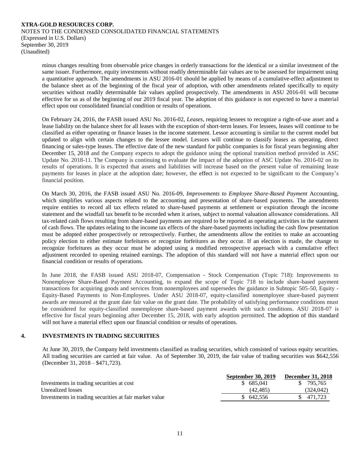minus changes resulting from observable price changes in orderly transactions for the identical or a similar investment of the same issuer. Furthermore, equity investments without readily determinable fair values are to be assessed for impairment using a quantitative approach. The amendments in ASU 2016-01 should be applied by means of a cumulative-effect adjustment to the balance sheet as of the beginning of the fiscal year of adoption, with other amendments related specifically to equity securities without readily determinable fair values applied prospectively. The amendments in ASU 2016-01 will become effective for us as of the beginning of our 2019 fiscal year. The adoption of this guidance is not expected to have a material effect upon our consolidated financial condition or results of operations.

On February 24, 2016, the FASB issued ASU No. 2016-02, *Leases*, requiring lessees to recognize a right-of-use asset and a lease liability on the balance sheet for all leases with the exception of short-term leases. For lessees, leases will continue to be classified as either operating or finance leases in the income statement. Lessor accounting is similar to the current model but updated to align with certain changes to the lessee model. Lessors will continue to classify leases as operating, direct financing or sales-type leases. The effective date of the new standard for public companies is for fiscal years beginning after December 15, 2018 and the Company expects to adopt the guidance using the optional transition method provided in ASC Update No. 2018-11. The Company is continuing to evaluate the impact of the adoption of ASC Update No. 2016-02 on its results of operations. It is expected that assets and liabilities will increase based on the present value of remaining lease payments for leases in place at the adoption date; however, the effect is not expected to be significant to the Company's financial position.

On March 30, 2016, the FASB issued ASU No. 2016-09, *Improvements to Employee Share-Based Payment* Accounting, which simplifies various aspects related to the accounting and presentation of share-based payments. The amendments require entities to record all tax effects related to share-based payments at settlement or expiration through the income statement and the windfall tax benefit to be recorded when it arises, subject to normal valuation allowance considerations. All tax-related cash flows resulting from share-based payments are required to be reported as operating activities in the statement of cash flows. The updates relating to the income tax effects of the share-based payments including the cash flow presentation must be adopted either prospectively or retrospectively. Further, the amendments allow the entities to make an accounting policy election to either estimate forfeitures or recognize forfeitures as they occur. If an election is made, the change to recognize forfeitures as they occur must be adopted using a modified retrospective approach with a cumulative effect adjustment recorded to opening retained earnings. The adoption of this standard will not have a material effect upon our financial condition or results of operations.

In June 2018, the FASB issued ASU 2018-07, Compensation - Stock Compensation (Topic 718): Improvements to Nonemployee Share-Based Payment Accounting, to expand the scope of Topic 718 to include share-based payment transactions for acquiring goods and services from nonemployees and supersedes the guidance in Subtopic 505-50, Equity - Equity-Based Payments to Non-Employees. Under ASU 2018-07, equity-classified nonemployee share-based payment awards are measured at the grant date fair value on the grant date. The probability of satisfying performance conditions must be considered for equity-classified nonemployee share-based payment awards with such conditions. ASU 2018-07 is effective for fiscal years beginning after December 15, 2018, with early adoption permitted. The adoption of this standard will not have a material effect upon our financial condition or results of operations.

### **4. INVESTMENTS IN TRADING SECURITIES**

At June 30, 2019, the Company held investments classified as trading securities, which consisted of various equity securities. All trading securities are carried at fair value. As of September 30, 2019, the fair value of trading securities was \$642,556 (December 31, 2018 – \$471,723).

| <b>September 30, 2019</b> | <b>December 31, 2018</b> |
|---------------------------|--------------------------|
| \$685,041                 | \$ 795,765               |
| (42.485)                  | (324,042)                |
| \$642,556                 | \$ 471,723               |
|                           |                          |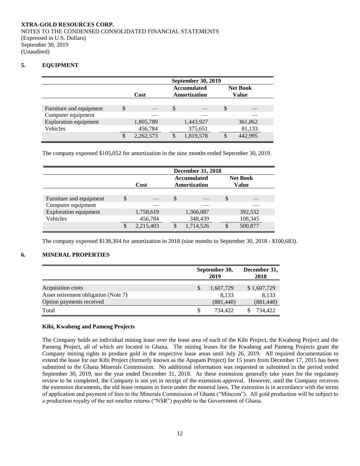### **5. EQUIPMENT**

|                              | <b>September 30, 2019</b> |    |                                    |          |                                 |  |  |
|------------------------------|---------------------------|----|------------------------------------|----------|---------------------------------|--|--|
|                              | Cost                      |    | <b>Accumulated</b><br>Amortization |          | <b>Net Book</b><br><b>Value</b> |  |  |
|                              |                           |    |                                    |          |                                 |  |  |
| Furniture and equipment      | \$                        | \$ |                                    | <b>S</b> |                                 |  |  |
| Computer equipment           |                           |    |                                    |          |                                 |  |  |
| <b>Exploration equipment</b> | 1,805,789                 |    | 1,443,927                          |          | 361,862                         |  |  |
| Vehicles                     | 456,784                   |    | 375,651                            |          | 81,133                          |  |  |
|                              | \$<br>2,262,573           |    | 1,819,578                          |          | 442,995                         |  |  |

The company expensed \$105,052 for amortization in the nine months ended September 30, 2019.

|                              | <b>December 31, 2018</b> |           |               |                                    |   |                          |  |
|------------------------------|--------------------------|-----------|---------------|------------------------------------|---|--------------------------|--|
|                              |                          | Cost      |               | <b>Accumulated</b><br>Amortization |   | <b>Net Book</b><br>Value |  |
|                              |                          |           |               |                                    |   |                          |  |
| Furniture and equipment      | \$                       |           | $\mathcal{S}$ |                                    | S |                          |  |
| Computer equipment           |                          |           |               |                                    |   |                          |  |
| <b>Exploration equipment</b> |                          | 1,758,619 |               | 1,366,087                          |   | 392,532                  |  |
| Vehicles                     |                          | 456,784   |               | 348,439                            |   | 108,345                  |  |
|                              |                          | 2,215,403 |               | 1,714,526                          |   | 500,877                  |  |

The company expensed \$138,304 for amortization in 2018 (nine months to September 30, 2018 - \$100,683).

### **6. MINERAL PROPERTIES**

|                                      | September 30,<br>2019 | December 31,<br>2018 |
|--------------------------------------|-----------------------|----------------------|
| Acquisition costs                    | 1,607,729             | \$1,607,729          |
| Asset retirement obligation (Note 7) | 8.133                 | 8.133                |
| Option payments received             | (881, 440)            | (881, 440)           |
| Total                                | 734.422               | 734.422              |

### **Kibi, Kwabeng and Pameng Projects**

The Company holds an individual mining lease over the lease area of each of the Kibi Project, the Kwabeng Project and the Pameng Project, all of which are located in Ghana. The mining leases for the Kwabeng and Pameng Projects grant the Company mining rights to produce gold in the respective lease areas until July 26, 2019. All required documentation to extend the lease for our Kibi Project (formerly known as the Apapam Project) for 15 years from December 17, 2015 has been submitted to the Ghana Minerals Commission. No additional information was requested or submitted in the period ended September 30, 2019, nor the year ended December 31, 2018. As these extensions generally take years for the regulatory review to be completed, the Company is not yet in receipt of the extension approval. However, until the Company receives the extension documents, the old lease remains in force under the mineral laws. The extension is in accordance with the terms of application and payment of fees to the Minerals Commission of Ghana ("Mincom"). All gold production will be subject to a production royalty of the net smelter returns ("NSR") payable to the Government of Ghana.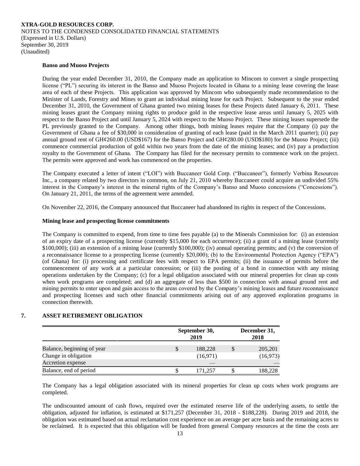NOTES TO THE CONDENSED CONSOLIDATED FINANCIAL STATEMENTS (Expressed in U.S. Dollars) September 30, 2019 (Unaudited)

#### **Banso and Muoso Projects**

During the year ended December 31, 2010, the Company made an application to Mincom to convert a single prospecting license ("PL") securing its interest in the Banso and Muoso Projects located in Ghana to a mining lease covering the lease area of each of these Projects. This application was approved by Mincom who subsequently made recommendation to the Minister of Lands, Forestry and Mines to grant an individual mining lease for each Project. Subsequent to the year ended December 31, 2010, the Government of Ghana granted two mining leases for these Projects dated January 6, 2011. These mining leases grant the Company mining rights to produce gold in the respective lease areas until January 5, 2025 with respect to the Banso Project and until January 5, 2024 with respect to the Muoso Project. These mining leases supersede the PL previously granted to the Company. Among other things, both mining leases require that the Company (i) pay the Government of Ghana a fee of \$30,000 in consideration of granting of each lease (paid in the March 2011 quarter); (ii) pay annual ground rent of GH¢260.00 (USD\$167) for the Banso Project and GH¢280.00 (USD\$180) for the Muoso Project; (iii) commence commercial production of gold within two years from the date of the mining leases; and (iv) pay a production royalty to the Government of Ghana. The Company has filed for the necessary permits to commence work on the project. The permits were approved and work has commenced on the properties.

The Company executed a letter of intent ("LOI") with Buccaneer Gold Corp. ("Buccaneer"), formerly Verbina Resources Inc., a company related by two directors in common, on July 21, 2010 whereby Buccaneer could acquire an undivided 55% interest in the Company's interest in the mineral rights of the Company's Banso and Muoso concessions ("Concessions"). On January 21, 2011, the terms of the agreement were amended.

On November 22, 2016, the Company announced that Buccaneer had abandoned its rights in respect of the Concessions.

#### **Mining lease and prospecting license commitments**

The Company is committed to expend, from time to time fees payable (a) to the Minerals Commission for: (i) an extension of an expiry date of a prospecting license (currently \$15,000 for each occurrence); (ii) a grant of a mining lease (currently \$100,000); (iii) an extension of a mining lease (currently \$100,000); (iv) annual operating permits; and (v) the conversion of a reconnaissance license to a prospecting license (currently \$20,000); (b) to the Environmental Protection Agency ("EPA") (of Ghana) for: (i) processing and certificate fees with respect to EPA permits; (ii) the issuance of permits before the commencement of any work at a particular concession; or (iii) the posting of a bond in connection with any mining operations undertaken by the Company; (c) for a legal obligation associated with our mineral properties for clean up costs when work programs are completed; and (d) an aggregate of less than \$500 in connection with annual ground rent and mining permits to enter upon and gain access to the areas covered by the Company's mining leases and future reconnaissance and prospecting licenses and such other financial commitments arising out of any approved exploration programs in connection therewith.

### **7. ASSET RETIREMENT OBLIGATION**

|                                                    | September 30,<br>2019     | December 31,<br>2018 |  |
|----------------------------------------------------|---------------------------|----------------------|--|
| Balance, beginning of year<br>Change in obligation | \$<br>188,228<br>(16,971) | 205,201<br>(16, 973) |  |
| Accretion expense                                  |                           |                      |  |
| Balance, end of period                             | 171.257                   | 188,228              |  |

The Company has a legal obligation associated with its mineral properties for clean up costs when work programs are completed.

The undiscounted amount of cash flows, required over the estimated reserve life of the underlying assets, to settle the obligation, adjusted for inflation, is estimated at \$171,257 (December 31, 2018 - \$188,228). During 2019 and 2018, the obligation was estimated based on actual reclamation cost experience on an average per acre basis and the remaining acres to be reclaimed. It is expected that this obligation will be funded from general Company resources at the time the costs are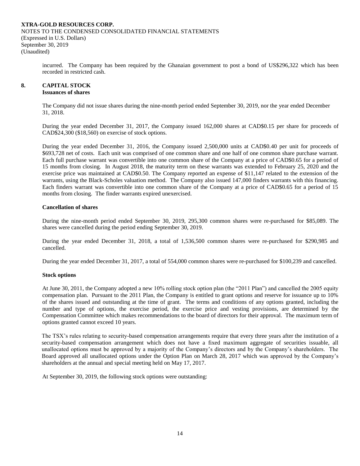incurred. The Company has been required by the Ghanaian government to post a bond of US\$296,322 which has been recorded in restricted cash.

# **8. CAPITAL STOCK**

### **Issuances of shares**

The Company did not issue shares during the nine-month period ended September 30, 2019, nor the year ended December 31, 2018.

During the year ended December 31, 2017, the Company issued 162,000 shares at CAD\$0.15 per share for proceeds of CAD\$24,300 (\$18,560) on exercise of stock options.

During the year ended December 31, 2016, the Company issued 2,500,000 units at CAD\$0.40 per unit for proceeds of \$693,728 net of costs. Each unit was comprised of one common share and one half of one common share purchase warrant. Each full purchase warrant was convertible into one common share of the Company at a price of CAD\$0.65 for a period of 15 months from closing. In August 2018, the maturity term on these warrants was extended to February 25, 2020 and the exercise price was maintained at CAD\$0.50. The Company reported an expense of \$11,147 related to the extension of the warrants, using the Black-Scholes valuation method. The Company also issued 147,000 finders warrants with this financing. Each finders warrant was convertible into one common share of the Company at a price of CAD\$0.65 for a period of 15 months from closing. The finder warrants expired unexercised.

### **Cancellation of shares**

During the nine-month period ended September 30, 2019, 295,300 common shares were re-purchased for \$85,089. The shares were cancelled during the period ending September 30, 2019.

During the year ended December 31, 2018, a total of 1,536,500 common shares were re-purchased for \$290,985 and cancelled.

During the year ended December 31, 2017, a total of 554,000 common shares were re-purchased for \$100,239 and cancelled.

#### **Stock options**

At June 30, 2011, the Company adopted a new 10% rolling stock option plan (the "2011 Plan") and cancelled the 2005 equity compensation plan. Pursuant to the 2011 Plan, the Company is entitled to grant options and reserve for issuance up to 10% of the shares issued and outstanding at the time of grant. The terms and conditions of any options granted, including the number and type of options, the exercise period, the exercise price and vesting provisions, are determined by the Compensation Committee which makes recommendations to the board of directors for their approval. The maximum term of options granted cannot exceed 10 years.

The TSX's rules relating to security-based compensation arrangements require that every three years after the institution of a security-based compensation arrangement which does not have a fixed maximum aggregate of securities issuable, all unallocated options must be approved by a majority of the Company's directors and by the Company's shareholders. The Board approved all unallocated options under the Option Plan on March 28, 2017 which was approved by the Company's shareholders at the annual and special meeting held on May 17, 2017.

At September 30, 2019, the following stock options were outstanding: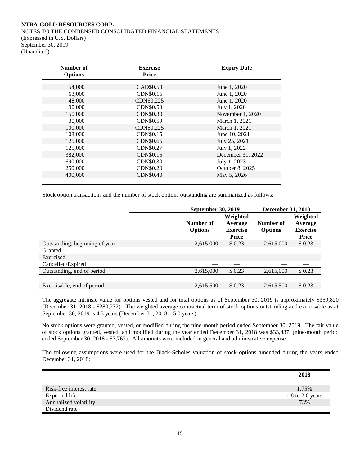NOTES TO THE CONDENSED CONSOLIDATED FINANCIAL STATEMENTS (Expressed in U.S. Dollars) September 30, 2019 (Unaudited)

| Number of<br><b>Options</b> | <b>Exercise</b><br><b>Price</b> | <b>Expiry Date</b> |  |
|-----------------------------|---------------------------------|--------------------|--|
|                             |                                 |                    |  |
| 54,000                      | CAD\$0.50                       | June 1, 2020       |  |
| 63,000                      | <b>CDN\$0.15</b>                | June 1, 2020       |  |
| 48,000                      | CDN\$0.225                      | June 1, 2020       |  |
| 90,000                      | CDN\$0.50                       | July 1, 2020       |  |
| 150,000                     | <b>CDN\$0.30</b>                | November 1, 2020   |  |
| 30,000                      | <b>CDN\$0.50</b>                | March 1, 2021      |  |
| 100,000                     | CDN\$0.225                      | March 1, 2021      |  |
| 108,000                     | CDN\$0.15                       | June 10, 2021      |  |
| 125,000                     | <b>CDN\$0.65</b>                | July 25, 2021      |  |
| 125,000                     | CDN\$0.27                       | July 1, 2022       |  |
| 382,000                     | <b>CDN\$0.15</b>                | December 31, 2022  |  |
| 690,000                     | <b>CDN\$0.30</b>                | July 1, 2023       |  |
| 250,000                     | <b>CDN\$0.20</b>                | October 8, 2025    |  |
| 400,000                     | <b>CDN\$0.40</b>                | May 5, 2026        |  |
|                             |                                 |                    |  |

Stock option transactions and the number of stock options outstanding are summarized as follows:

|                                | September 30, 2019 |                 | <b>December 31, 2018</b> |                 |  |
|--------------------------------|--------------------|-----------------|--------------------------|-----------------|--|
|                                |                    | Weighted        |                          | Weighted        |  |
|                                | Number of          | Average         | Number of                | Average         |  |
|                                | <b>Options</b>     | <b>Exercise</b> | <b>Options</b>           | <b>Exercise</b> |  |
|                                |                    | Price           |                          | <b>Price</b>    |  |
| Outstanding, beginning of year | 2,615,000          | \$0.23          | 2,615,000                | \$0.23          |  |
| Granted                        |                    |                 |                          |                 |  |
| Exercised                      |                    |                 |                          |                 |  |
| Cancelled/Expired              |                    |                 |                          |                 |  |
| Outstanding, end of period     | 2,615,000          | \$0.23          | 2,615,000                | \$0.23          |  |
|                                |                    |                 |                          |                 |  |
| Exercisable, end of period     | 2,615,500          | \$0.23          | 2,615,500                | \$0.23          |  |

The aggregate intrinsic value for options vested and for total options as of September 30, 2019 is approximately \$359,820 (December 31, 2018 - \$280,232). The weighted average contractual term of stock options outstanding and exercisable as at September 30, 2019 is 4.3 years (December 31, 2018 – 5.0 years).

No stock options were granted, vested, or modified during the nine-month period ended September 30, 2019. The fair value of stock options granted, vested, and modified during the year ended December 31, 2018 was \$33,437, (nine-month period ended September 30, 2018 - \$7,762). All amounts were included in general and administrative expense.

The following assumptions were used for the Black-Scholes valuation of stock options amended during the years ended December 31, 2018:

|                         | 2018             |
|-------------------------|------------------|
|                         |                  |
| Risk-free interest rate | 1.75%            |
| Expected life           | 1.8 to 2.6 years |
| Annualized volatility   | 73%              |
| Dividend rate           |                  |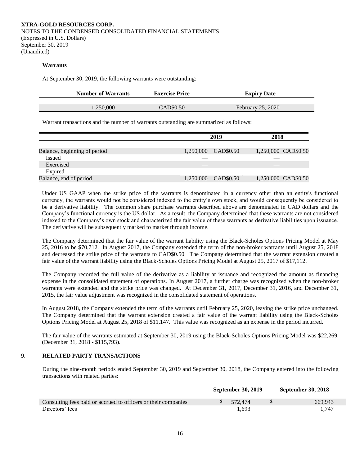#### **Warrants**

At September 30, 2019, the following warrants were outstanding:

| <b>Number of Warrants</b> | <b>Exercise Price</b> | <b>Expiry Date</b> |  |
|---------------------------|-----------------------|--------------------|--|
|                           |                       |                    |  |
| 250.000                   | CAD\$0.50             | February 25, 2020  |  |

Warrant transactions and the number of warrants outstanding are summarized as follows:

|                              |           | 2019      |  | 2018                |
|------------------------------|-----------|-----------|--|---------------------|
|                              |           |           |  |                     |
| Balance, beginning of period | 1,250,000 | CAD\$0.50 |  | 1,250,000 CAD\$0.50 |
| <b>Issued</b>                |           |           |  |                     |
| Exercised                    |           |           |  |                     |
| Expired                      |           |           |  |                     |
| Balance, end of period       | 1,250,000 | CAD\$0.50 |  | 1,250,000 CAD\$0.50 |

Under US GAAP when the strike price of the warrants is denominated in a currency other than an entity's functional currency, the warrants would not be considered indexed to the entity's own stock, and would consequently be considered to be a derivative liability. The common share purchase warrants described above are denominated in CAD dollars and the Company's functional currency is the US dollar. As a result, the Company determined that these warrants are not considered indexed to the Company's own stock and characterized the fair value of these warrants as derivative liabilities upon issuance. The derivative will be subsequently marked to market through income.

The Company determined that the fair value of the warrant liability using the Black-Scholes Options Pricing Model at May 25, 2016 to be \$70,712. In August 2017, the Company extended the term of the non-broker warrants until August 25, 2018 and decreased the strike price of the warrants to CAD\$0.50. The Company determined that the warrant extension created a fair value of the warrant liability using the Black-Scholes Options Pricing Model at August 25, 2017 of \$17,112.

The Company recorded the full value of the derivative as a liability at issuance and recognized the amount as financing expense in the consolidated statement of operations. In August 2017, a further charge was recognized when the non-broker warrants were extended and the strike price was changed. At December 31, 2017, December 31, 2016, and December 31, 2015, the fair value adjustment was recognized in the consolidated statement of operations.

In August 2018, the Company extended the term of the warrants until February 25, 2020, leaving the strike price unchanged. The Company determined that the warrant extension created a fair value of the warrant liability using the Black-Scholes Options Pricing Model at August 25, 2018 of \$11,147. This value was recognized as an expense in the period incurred.

The fair value of the warrants estimated at September 30, 2019 using the Black-Scholes Options Pricing Model was \$22,269. (December 31, 2018 - \$115,793).

### **9. RELATED PARTY TRANSACTIONS**

During the nine-month periods ended September 30, 2019 and September 30, 2018, the Company entered into the following transactions with related parties:

|                                                                | <b>September 30, 2019</b> | <b>September 30, 2018</b> |
|----------------------------------------------------------------|---------------------------|---------------------------|
| Consulting fees paid or accrued to officers or their companies | 572.474                   | 669.943                   |
| Directors' fees                                                | 1.693                     | 1 747                     |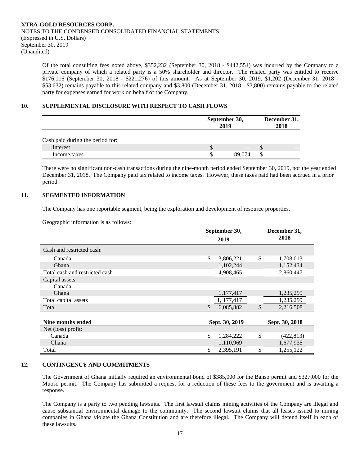Of the total consulting fees noted above, \$352,232 (September 30, 2018 - \$442,551) was incurred by the Company to a private company of which a related party is a 50% shareholder and director. The related party was entitled to receive \$176,116 (September 30, 2018 - \$221,276) of this amount. As at September 30, 2019, \$1,202 (December 31, 2018 - \$53,632) remains payable to this related company and \$3,800 (December 31, 2018 - \$3,800) remains payable to the related party for expenses earned for work on behalf of the Company.

### **10. SUPPLEMENTAL DISCLOSURE WITH RESPECT TO CASH FLOWS**

|                                  |   | September 30,<br>2019 |    | December 31,<br>2018 |  |  |
|----------------------------------|---|-----------------------|----|----------------------|--|--|
| Cash paid during the period for: |   |                       |    |                      |  |  |
| Interest                         | S |                       | ۰D |                      |  |  |
| Income taxes                     | S | 89,074                |    |                      |  |  |

There were no significant non-cash transactions during the nine-month period ended September 30, 2019, nor the year ended December 31, 2018. The Company paid tax related to income taxes. However, these taxes paid had been accrued in a prior period.

### **11. SEGMENTED INFORMATION**

The Company has one reportable segment, being the exploration and development of resource properties.

Geographic information is as follows:

|                                | September 30, |                |               | December 31,   |
|--------------------------------|---------------|----------------|---------------|----------------|
|                                |               | 2019           |               | 2018           |
| Cash and restricted cash:      |               |                |               |                |
| Canada                         | \$            | 3,806,221      | \$            | 1,708,013      |
| Ghana                          |               | 1,102,244      |               | 1,152,434      |
| Total cash and restricted cash |               | 4,908,465      |               | 2,860,447      |
| Capital assets                 |               |                |               |                |
| Canada                         |               |                |               |                |
| Ghana                          |               | 1,177,417      |               | 1,235,299      |
| Total capital assets           |               | 1, 177, 417    |               | 1,235,299      |
| Total                          | \$            | 6,085,882      | $\mathcal{S}$ | 2,216,508      |
|                                |               |                |               |                |
| Nine months ended              |               | Sept. 30, 2019 |               | Sept. 30, 2018 |
| Net (loss) profit:             |               |                |               |                |
| Canada                         | \$            | 1,284,222      | \$            | (422, 813)     |
| Ghana                          |               | 1,110,969      |               | 1,677,935      |
| Total                          | \$            | 2,395,191      | \$            | 1,255,122      |

### **12. CONTINGENCY AND COMMITMENTS**

The Government of Ghana initially required an environmental bond of \$385,000 for the Banso permit and \$327,000 for the Muoso permit. The Company has submitted a request for a reduction of these fees to the government and is awaiting a response.

The Company is a party to two pending lawsuits. The first lawsuit claims mining activities of the Company are illegal and cause substantial environmental damage to the community. The second lawsuit claims that all leases issued to mining companies in Ghana violate the Ghana Constitution and are therefore illegal. The Company will defend itself in each of these lawsuits.